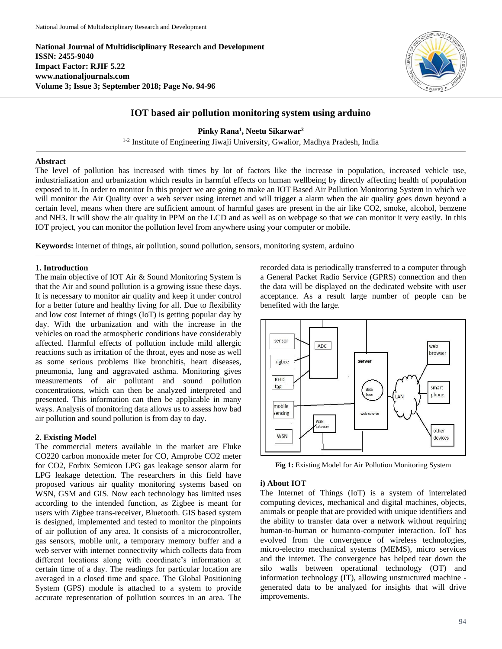**National Journal of Multidisciplinary Research and Development ISSN: 2455-9040 Impact Factor: RJIF 5.22 www.nationaljournals.com Volume 3; Issue 3; September 2018; Page No. 94-96**



# **IOT based air pollution monitoring system using arduino**

**Pinky Rana<sup>1</sup> , Neetu Sikarwar<sup>2</sup>**

<sup>1-2</sup> Institute of Engineering Jiwaji University, Gwalior, Madhya Pradesh, India

## **Abstract**

The level of pollution has increased with times by lot of factors like the increase in population, increased vehicle use, industrialization and urbanization which results in harmful effects on human wellbeing by directly affecting health of population exposed to it. In order to monitor In this project we are going to make an IOT Based Air Pollution Monitoring System in which we will monitor the Air Quality over a web server using internet and will trigger a alarm when the air quality goes down beyond a certain level, means when there are sufficient amount of harmful gases are present in the air like CO2, smoke, alcohol, benzene and NH3. It will show the air quality in PPM on the LCD and as well as on webpage so that we can monitor it very easily. In this IOT project, you can monitor the pollution level from anywhere using your computer or mobile.

**Keywords:** internet of things, air pollution, sound pollution, sensors, monitoring system, arduino

### **1. Introduction**

The main objective of IOT Air & Sound Monitoring System is that the Air and sound pollution is a growing issue these days. It is necessary to monitor air quality and keep it under control for a better future and healthy living for all. Due to flexibility and low cost Internet of things (IoT) is getting popular day by day. With the urbanization and with the increase in the vehicles on road the atmospheric conditions have considerably affected. Harmful effects of pollution include mild allergic reactions such as irritation of the throat, eyes and nose as well as some serious problems like bronchitis, heart diseases, pneumonia, lung and aggravated asthma. Monitoring gives measurements of air pollutant and sound pollution concentrations, which can then be analyzed interpreted and presented. This information can then be applicable in many ways. Analysis of monitoring data allows us to assess how bad air pollution and sound pollution is from day to day.

## **2. Existing Model**

The commercial meters available in the market are Fluke CO220 carbon monoxide meter for CO, Amprobe CO2 meter for CO2, Forbix Semicon LPG gas leakage sensor alarm for LPG leakage detection. The researchers in this field have proposed various air quality monitoring systems based on WSN, GSM and GIS. Now each technology has limited uses according to the intended function, as Zigbee is meant for users with Zigbee trans-receiver, Bluetooth. GIS based system is designed, implemented and tested to monitor the pinpoints of air pollution of any area. It consists of a microcontroller, gas sensors, mobile unit, a temporary memory buffer and a web server with internet connectivity which collects data from different locations along with coordinate's information at certain time of a day. The readings for particular location are averaged in a closed time and space. The Global Positioning System (GPS) module is attached to a system to provide accurate representation of pollution sources in an area. The recorded data is periodically transferred to a computer through a General Packet Radio Service (GPRS) connection and then the data will be displayed on the dedicated website with user acceptance. As a result large number of people can be benefited with the large.



**Fig 1:** Existing Model for Air Pollution Monitoring System

### **i) About IOT**

The Internet of Things (IoT) is a system of interrelated computing devices, mechanical and digital machines, objects, animals or people that are provided with unique identifiers and the ability to transfer data over a network without requiring human-to-human or humanto-computer interaction. IoT has evolved from the convergence of wireless technologies, micro-electro mechanical systems (MEMS), micro services and the internet. The convergence has helped tear down the silo walls between operational technology (OT) and information technology (IT), allowing unstructured machine generated data to be analyzed for insights that will drive improvements.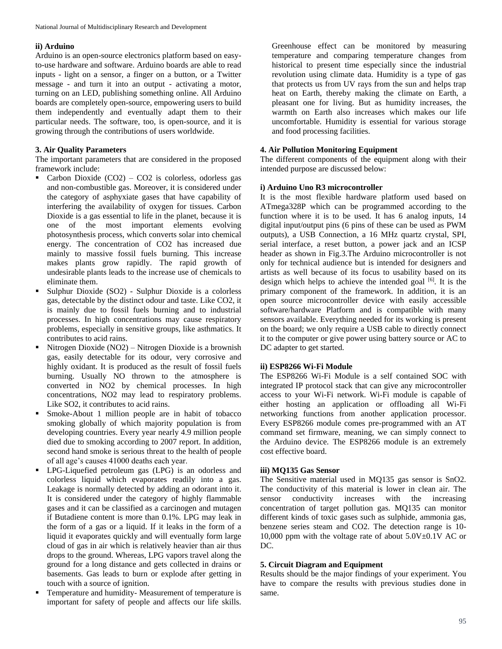#### **ii) Arduino**

Arduino is an open-source electronics platform based on easyto-use hardware and software. Arduino boards are able to read inputs - light on a sensor, a finger on a button, or a Twitter message - and turn it into an output - activating a motor, turning on an LED, publishing something online. All Arduino boards are completely open-source, empowering users to build them independently and eventually adapt them to their particular needs. The software, too, is open-source, and it is growing through the contributions of users worldwide.

## **3. Air Quality Parameters**

The important parameters that are considered in the proposed framework include:

- Carbon Dioxide (CO2) CO2 is colorless, odorless gas and non-combustible gas. Moreover, it is considered under the category of asphyxiate gases that have capability of interfering the availability of oxygen for tissues. Carbon Dioxide is a gas essential to life in the planet, because it is one of the most important elements evolving photosynthesis process, which converts solar into chemical energy. The concentration of CO2 has increased due mainly to massive fossil fuels burning. This increase makes plants grow rapidly. The rapid growth of undesirable plants leads to the increase use of chemicals to eliminate them.
- Sulphur Dioxide (SO2) Sulphur Dioxide is a colorless gas, detectable by the distinct odour and taste. Like CO2, it is mainly due to fossil fuels burning and to industrial processes. In high concentrations may cause respiratory problems, especially in sensitive groups, like asthmatics. It contributes to acid rains.
- Nitrogen Dioxide (NO2) Nitrogen Dioxide is a brownish gas, easily detectable for its odour, very corrosive and highly oxidant. It is produced as the result of fossil fuels burning. Usually NO thrown to the atmosphere is converted in NO2 by chemical processes. In high concentrations, NO2 may lead to respiratory problems. Like SO2, it contributes to acid rains.
- Smoke-About 1 million people are in habit of tobacco smoking globally of which majority population is from developing countries. Every year nearly 4.9 million people died due to smoking according to 2007 report. In addition, second hand smoke is serious threat to the health of people of all age's causes 41000 deaths each year.
- LPG-Liquefied petroleum gas (LPG) is an odorless and colorless liquid which evaporates readily into a gas. Leakage is normally detected by adding an odorant into it. It is considered under the category of highly flammable gases and it can be classified as a carcinogen and mutagen if Butadiene content is more than 0.1%. LPG may leak in the form of a gas or a liquid. If it leaks in the form of a liquid it evaporates quickly and will eventually form large cloud of gas in air which is relatively heavier than air thus drops to the ground. Whereas, LPG vapors travel along the ground for a long distance and gets collected in drains or basements. Gas leads to burn or explode after getting in touch with a source of ignition.
- Temperature and humidity- Measurement of temperature is important for safety of people and affects our life skills.

Greenhouse effect can be monitored by measuring temperature and comparing temperature changes from historical to present time especially since the industrial revolution using climate data. Humidity is a type of gas that protects us from UV rays from the sun and helps trap heat on Earth, thereby making the climate on Earth, a pleasant one for living. But as humidity increases, the warmth on Earth also increases which makes our life uncomfortable. Humidity is essential for various storage and food processing facilities.

## **4. Air Pollution Monitoring Equipment**

The different components of the equipment along with their intended purpose are discussed below:

### **i) Arduino Uno R3 microcontroller**

It is the most flexible hardware platform used based on ATmega328P which can be programmed according to the function where it is to be used. It has 6 analog inputs, 14 digital input/output pins (6 pins of these can be used as PWM outputs), a USB Connection, a 16 MHz quartz crystal, SPI, serial interface, a reset button, a power jack and an ICSP header as shown in Fig.3.The Arduino microcontroller is not only for technical audience but is intended for designers and artists as well because of its focus to usability based on its design which helps to achieve the intended goal  $[6]$ . It is the primary component of the framework. In addition, it is an open source microcontroller device with easily accessible software/hardware Platform and is compatible with many sensors available. Everything needed for its working is present on the board; we only require a USB cable to directly connect it to the computer or give power using battery source or AC to DC adapter to get started.

## **ii) ESP8266 Wi-Fi Module**

The ESP8266 Wi-Fi Module is a self contained SOC with integrated IP protocol stack that can give any microcontroller access to your Wi-Fi network. Wi-Fi module is capable of either hosting an application or offloading all Wi-Fi networking functions from another application processor. Every ESP8266 module comes pre-programmed with an AT command set firmware, meaning, we can simply connect to the Arduino device. The ESP8266 module is an extremely cost effective board.

### **iii) MQ135 Gas Sensor**

The Sensitive material used in MQ135 gas sensor is SnO2. The conductivity of this material is lower in clean air. The sensor conductivity increases with the increasing concentration of target pollution gas. MQ135 can monitor different kinds of toxic gases such as sulphide, ammonia gas, benzene series steam and CO2. The detection range is 10- 10,000 ppm with the voltage rate of about  $5.0V\text{+}0.1V$  AC or DC.

### **5. Circuit Diagram and Equipment**

Results should be the major findings of your experiment. You have to compare the results with previous studies done in same.